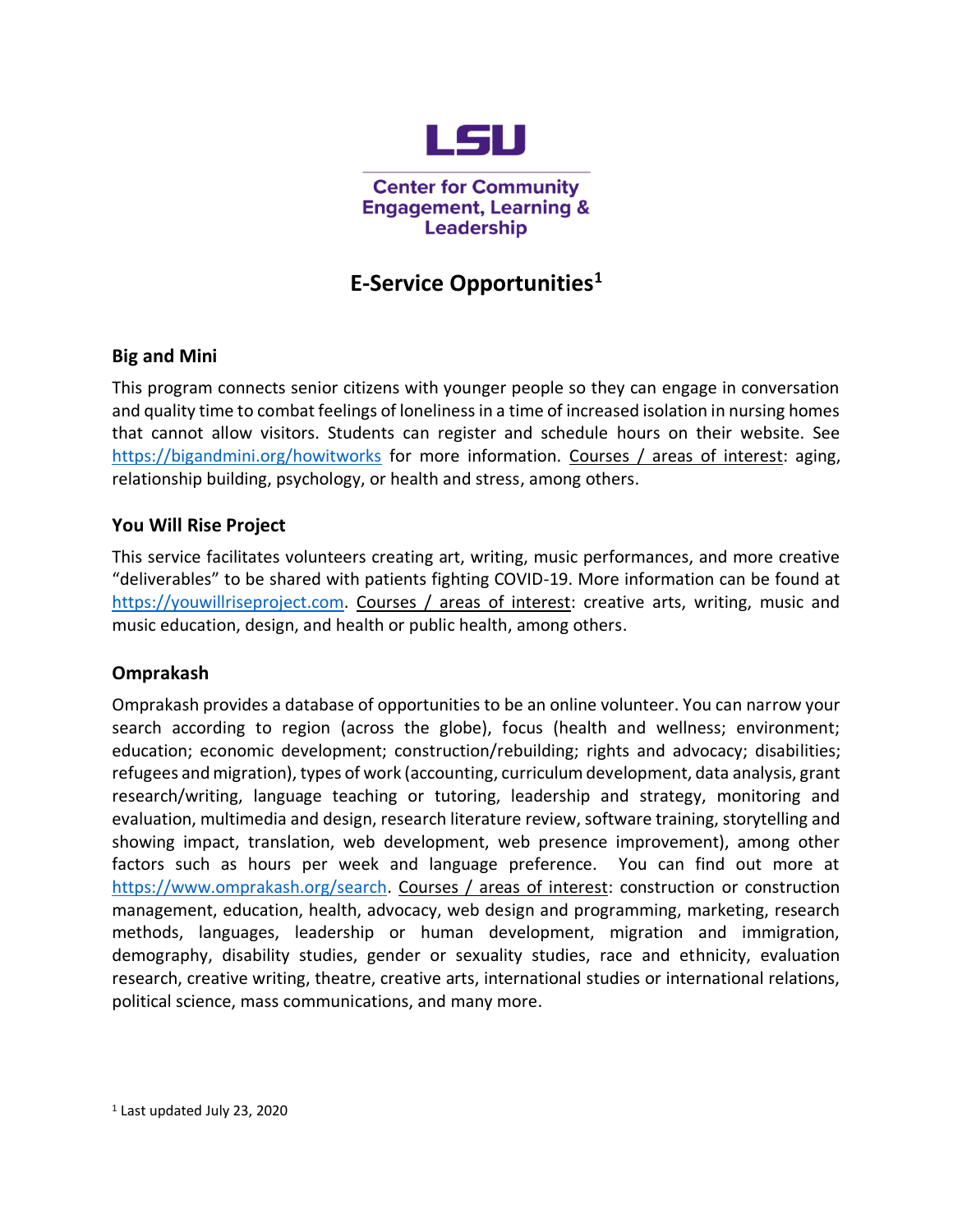

**Center for Community Engagement, Learning & Leadership** 

# **E-Service Opportunities<sup>1</sup>**

### **Big and Mini**

This program connects senior citizens with younger people so they can engage in conversation and quality time to combat feelings of loneliness in a time of increased isolation in nursing homes that cannot allow visitors. Students can register and schedule hours on their website. See <https://bigandmini.org/howitworks> for more information. Courses / areas of interest: aging, relationship building, psychology, or health and stress, among others.

### **You Will Rise Project**

This service facilitates volunteers creating art, writing, music performances, and more creative "deliverables" to be shared with patients fighting COVID-19. More information can be found at [https://youwillriseproject.com.](https://youwillriseproject.com/) Courses / areas of interest: creative arts, writing, music and music education, design, and health or public health, among others.

#### **Omprakash**

Omprakash provides a database of opportunities to be an online volunteer. You can narrow your search according to region (across the globe), focus (health and wellness; environment; education; economic development; construction/rebuilding; rights and advocacy; disabilities; refugees and migration), types of work (accounting, curriculum development, data analysis, grant research/writing, language teaching or tutoring, leadership and strategy, monitoring and evaluation, multimedia and design, research literature review, software training, storytelling and showing impact, translation, web development, web presence improvement), among other factors such as hours per week and language preference. You can find out more at [https://www.omprakash.org/search.](https://www.omprakash.org/search) Courses / areas of interest: construction or construction management, education, health, advocacy, web design and programming, marketing, research methods, languages, leadership or human development, migration and immigration, demography, disability studies, gender or sexuality studies, race and ethnicity, evaluation research, creative writing, theatre, creative arts, international studies or international relations, political science, mass communications, and many more.

<sup>1</sup> Last updated July 23, 2020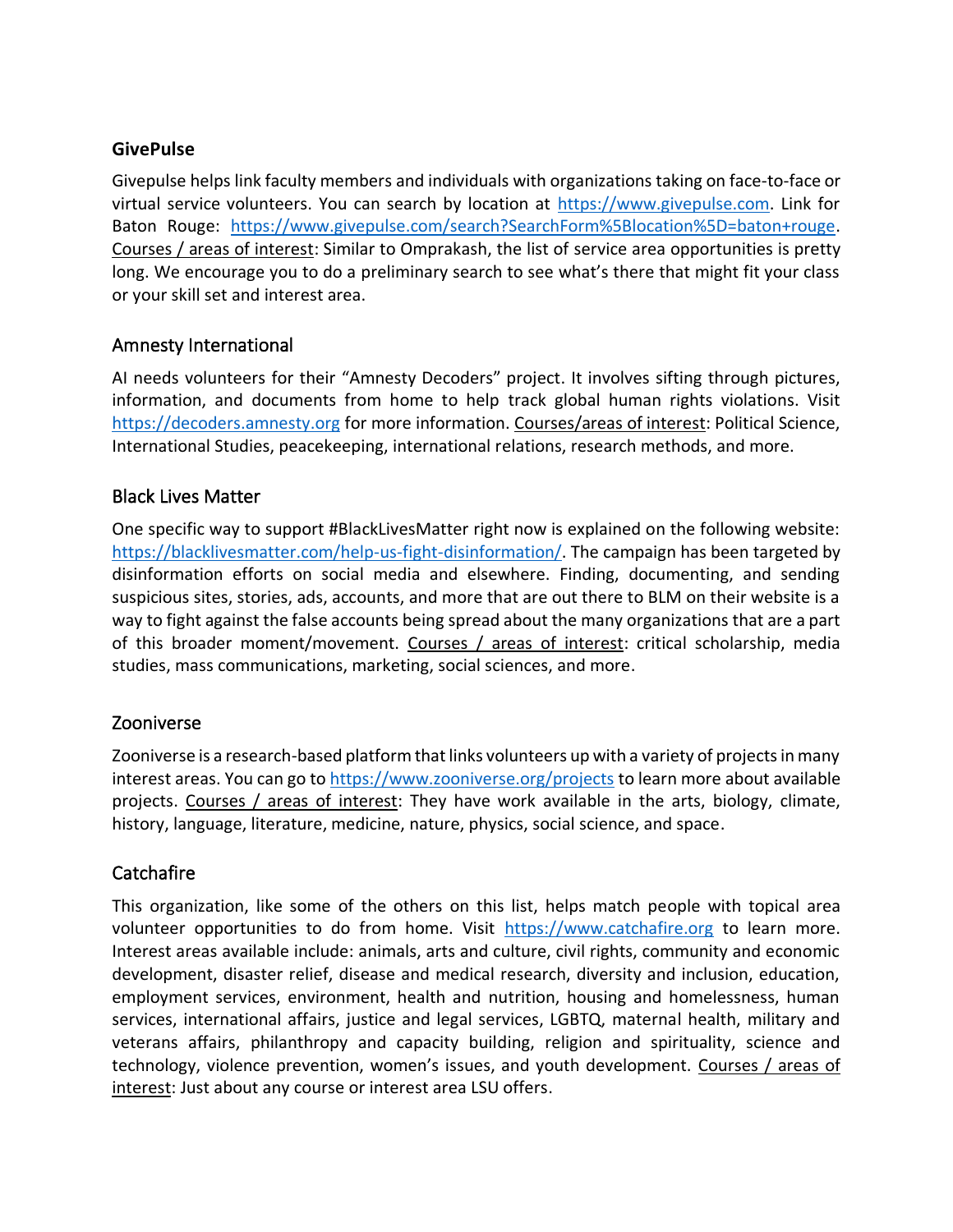#### **GivePulse**

Givepulse helps link faculty members and individuals with organizations taking on face-to-face or virtual service volunteers. You can search by location at [https://www.givepulse.com.](https://www.givepulse.com/) Link for Baton Rouge: [https://www.givepulse.com/search?SearchForm%5Blocation%5D=baton+rouge.](https://www.givepulse.com/search?SearchForm%5Blocation%5D=baton+rouge) Courses / areas of interest: Similar to Omprakash, the list of service area opportunities is pretty long. We encourage you to do a preliminary search to see what's there that might fit your class or your skill set and interest area.

#### Amnesty International

AI needs volunteers for their "Amnesty Decoders" project. It involves sifting through pictures, information, and documents from home to help track global human rights violations. Visit [https://decoders.amnesty.org](https://decoders.amnesty.org/) for more information. Courses/areas of interest: Political Science, International Studies, peacekeeping, international relations, research methods, and more.

#### Black Lives Matter

One specific way to support #BlackLivesMatter right now is explained on the following website: [https://blacklivesmatter.com/help-us-fight-disinformation/.](https://blacklivesmatter.com/help-us-fight-disinformation/) The campaign has been targeted by disinformation efforts on social media and elsewhere. Finding, documenting, and sending suspicious sites, stories, ads, accounts, and more that are out there to BLM on their website is a way to fight against the false accounts being spread about the many organizations that are a part of this broader moment/movement. Courses / areas of interest: critical scholarship, media studies, mass communications, marketing, social sciences, and more.

#### Zooniverse

Zooniverse is a research-based platform that links volunteers up with a variety of projects in many interest areas. You can go to<https://www.zooniverse.org/projects> to learn more about available projects. Courses / areas of interest: They have work available in the arts, biology, climate, history, language, literature, medicine, nature, physics, social science, and space.

## **Catchafire**

This organization, like some of the others on this list, helps match people with topical area volunteer opportunities to do from home. Visit [https://www.catchafire.org](https://www.catchafire.org/) to learn more. Interest areas available include: animals, arts and culture, civil rights, community and economic development, disaster relief, disease and medical research, diversity and inclusion, education, employment services, environment, health and nutrition, housing and homelessness, human services, international affairs, justice and legal services, LGBTQ, maternal health, military and veterans affairs, philanthropy and capacity building, religion and spirituality, science and technology, violence prevention, women's issues, and youth development. Courses / areas of interest: Just about any course or interest area LSU offers.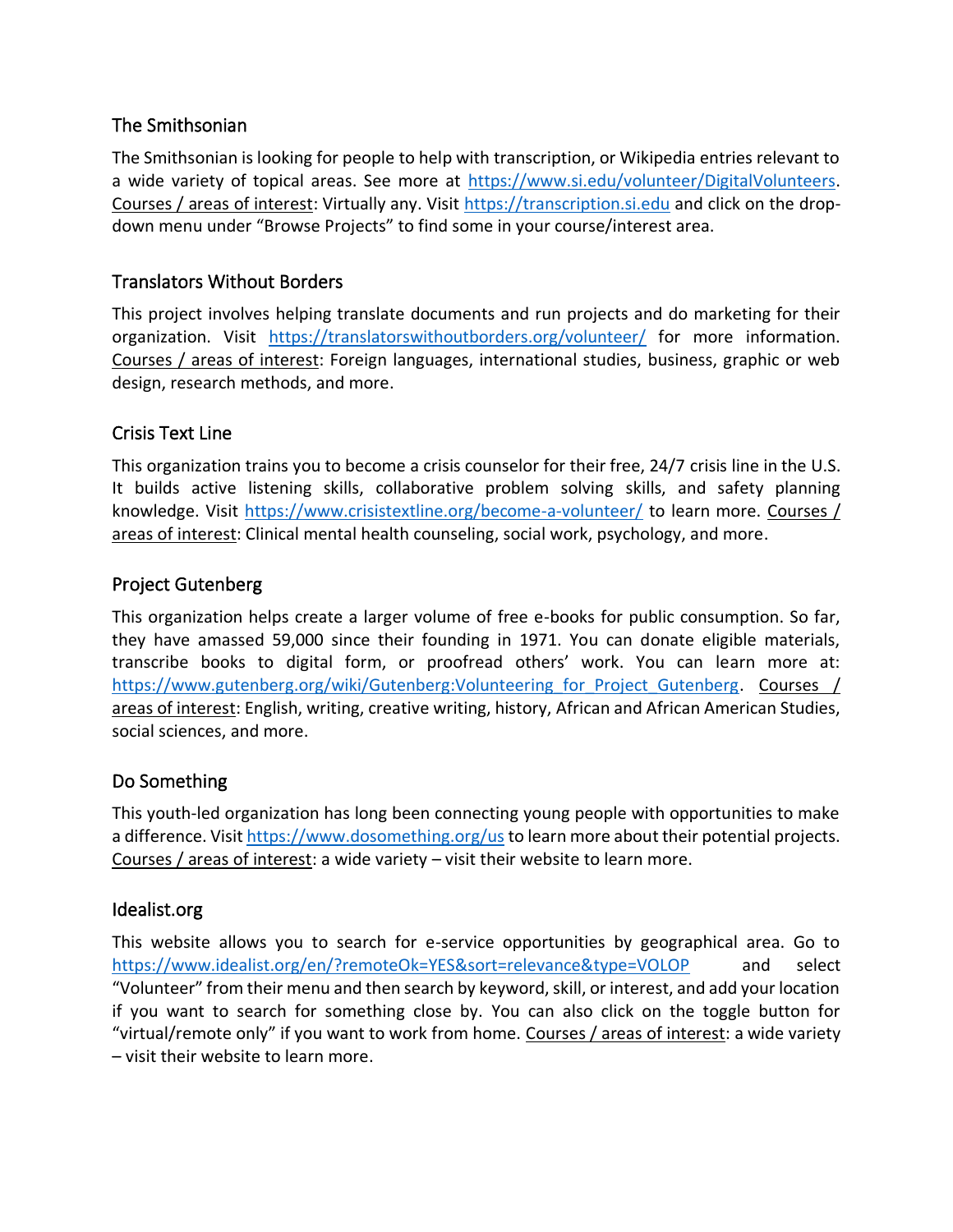### The Smithsonian

The Smithsonian is looking for people to help with transcription, or Wikipedia entries relevant to a wide variety of topical areas. See more at [https://www.si.edu/volunteer/DigitalVolunteers.](https://www.si.edu/volunteer/DigitalVolunteers) Courses / areas of interest: Virtually any. Visit [https://transcription.si.edu](https://transcription.si.edu/) and click on the dropdown menu under "Browse Projects" to find some in your course/interest area.

## Translators Without Borders

This project involves helping translate documents and run projects and do marketing for their organization. Visit <https://translatorswithoutborders.org/volunteer/> for more information. Courses / areas of interest: Foreign languages, international studies, business, graphic or web design, research methods, and more.

#### Crisis Text Line

This organization trains you to become a crisis counselor for their free, 24/7 crisis line in the U.S. It builds active listening skills, collaborative problem solving skills, and safety planning knowledge. Visit<https://www.crisistextline.org/become-a-volunteer/> to learn more. Courses / areas of interest: Clinical mental health counseling, social work, psychology, and more.

### Project Gutenberg

This organization helps create a larger volume of free e-books for public consumption. So far, they have amassed 59,000 since their founding in 1971. You can donate eligible materials, transcribe books to digital form, or proofread others' work. You can learn more at: https://www.gutenberg.org/wiki/Gutenberg:Volunteering for Project Gutenberg. Courses / areas of interest: English, writing, creative writing, history, African and African American Studies, social sciences, and more.

## Do Something

This youth-led organization has long been connecting young people with opportunities to make a difference. Visi[t https://www.dosomething.org/us](https://www.dosomething.org/us) to learn more about their potential projects. Courses / areas of interest: a wide variety – visit their website to learn more.

#### Idealist.org

This website allows you to search for e-service opportunities by geographical area. Go to <https://www.idealist.org/en/?remoteOk=YES&sort=relevance&type=VOLOP>and select "Volunteer" from their menu and then search by keyword, skill, or interest, and add your location if you want to search for something close by. You can also click on the toggle button for "virtual/remote only" if you want to work from home. Courses / areas of interest: a wide variety – visit their website to learn more.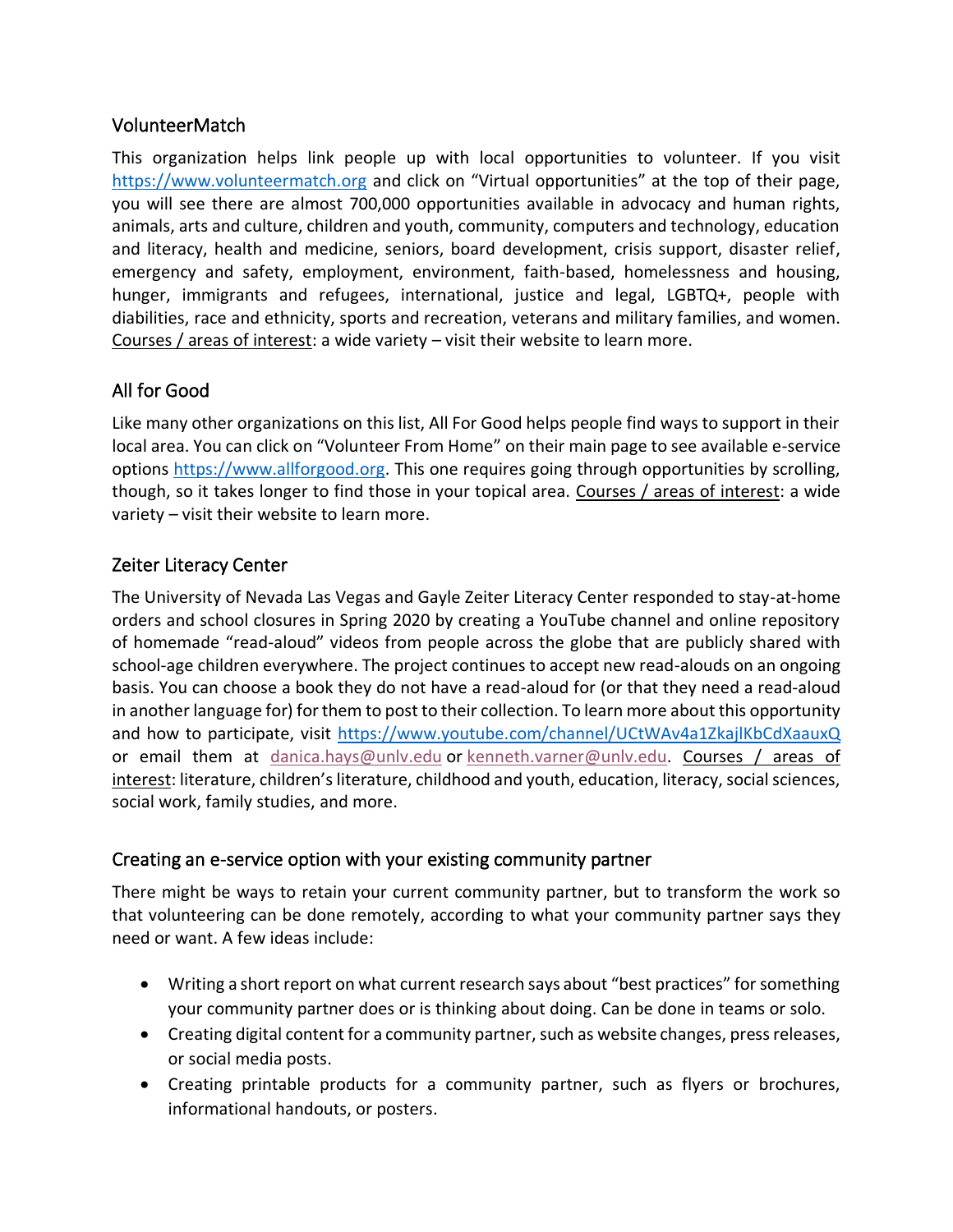### VolunteerMatch

This organization helps link people up with local opportunities to volunteer. If you visit [https://www.volunteermatch.org](https://www.volunteermatch.org/) and click on "Virtual opportunities" at the top of their page, you will see there are almost 700,000 opportunities available in advocacy and human rights, animals, arts and culture, children and youth, community, computers and technology, education and literacy, health and medicine, seniors, board development, crisis support, disaster relief, emergency and safety, employment, environment, faith-based, homelessness and housing, hunger, immigrants and refugees, international, justice and legal, LGBTQ+, people with diabilities, race and ethnicity, sports and recreation, veterans and military families, and women. Courses / areas of interest: a wide variety – visit their website to learn more.

## All for Good

Like many other organizations on this list, All For Good helps people find ways to support in their local area. You can click on "Volunteer From Home" on their main page to see available e-service options [https://www.allforgood.org.](https://www.allforgood.org/) This one requires going through opportunities by scrolling, though, so it takes longer to find those in your topical area. Courses / areas of interest: a wide variety – visit their website to learn more.

## Zeiter Literacy Center

The University of Nevada Las Vegas and Gayle Zeiter Literacy Center responded to stay-at-home orders and school closures in Spring 2020 by creating a YouTube channel and online repository of homemade "read-aloud" videos from people across the globe that are publicly shared with school-age children everywhere. The project continues to accept new read-alouds on an ongoing basis. You can choose a book they do not have a read-aloud for (or that they need a read-aloud in another language for) for them to post to their collection. To learn more about this opportunity and how to participate, visit<https://www.youtube.com/channel/UCtWAv4a1ZkajlKbCdXaauxQ> or email them at [danica.hays@unlv.edu](mailto:danica.hays@unlv.edu) or [kenneth.varner@unlv.edu.](mailto:kenneth.varner@unlv.edu) Courses / areas of interest: literature, children's literature, childhood and youth, education, literacy, social sciences, social work, family studies, and more.

#### Creating an e-service option with your existing community partner

There might be ways to retain your current community partner, but to transform the work so that volunteering can be done remotely, according to what your community partner says they need or want. A few ideas include:

- Writing a short report on what current research says about "best practices" for something your community partner does or is thinking about doing. Can be done in teams or solo.
- Creating digital content for a community partner, such as website changes, press releases, or social media posts.
- Creating printable products for a community partner, such as flyers or brochures, informational handouts, or posters.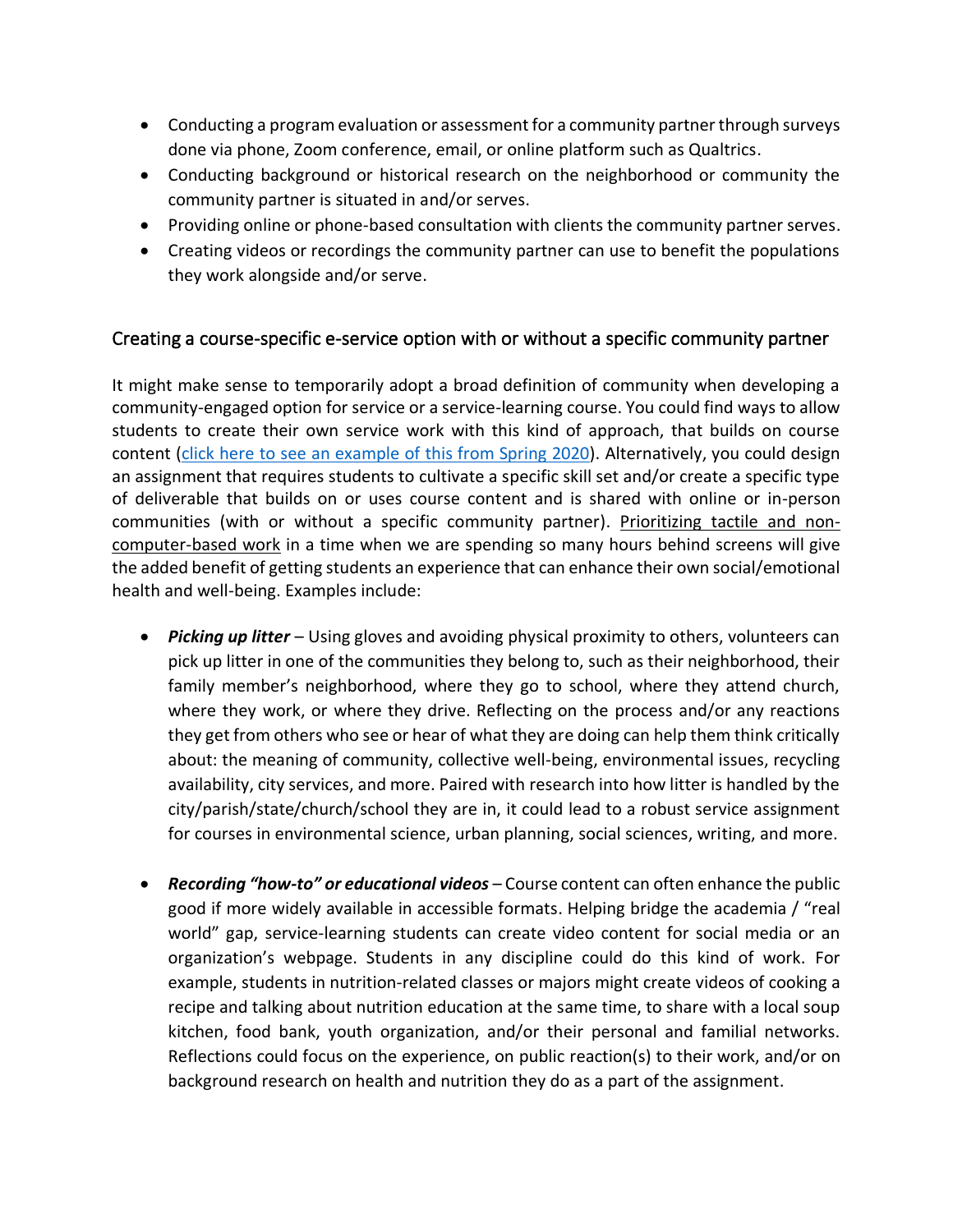- Conducting a program evaluation or assessment for a community partner through surveys done via phone, Zoom conference, email, or online platform such as Qualtrics.
- Conducting background or historical research on the neighborhood or community the community partner is situated in and/or serves.
- Providing online or phone-based consultation with clients the community partner serves.
- Creating videos or recordings the community partner can use to benefit the populations they work alongside and/or serve.

## Creating a course-specific e-service option with or without a specific community partner

It might make sense to temporarily adopt a broad definition of community when developing a community-engaged option for service or a service-learning course. You could find ways to allow students to create their own service work with this kind of approach, that builds on course content [\(click here to see an example of this from Spring 2020\)](https://www.lsu.edu/academicaffairs/ccell/course_specific_service_learning_assignment.pdf). Alternatively, you could design an assignment that requires students to cultivate a specific skill set and/or create a specific type of deliverable that builds on or uses course content and is shared with online or in-person communities (with or without a specific community partner). Prioritizing tactile and noncomputer-based work in a time when we are spending so many hours behind screens will give the added benefit of getting students an experience that can enhance their own social/emotional health and well-being. Examples include:

- *Picking up litter* Using gloves and avoiding physical proximity to others, volunteers can pick up litter in one of the communities they belong to, such as their neighborhood, their family member's neighborhood, where they go to school, where they attend church, where they work, or where they drive. Reflecting on the process and/or any reactions they get from others who see or hear of what they are doing can help them think critically about: the meaning of community, collective well-being, environmental issues, recycling availability, city services, and more. Paired with research into how litter is handled by the city/parish/state/church/school they are in, it could lead to a robust service assignment for courses in environmental science, urban planning, social sciences, writing, and more.
- *Recording "how-to" or educational videos* Course content can often enhance the public good if more widely available in accessible formats. Helping bridge the academia / "real world" gap, service-learning students can create video content for social media or an organization's webpage. Students in any discipline could do this kind of work. For example, students in nutrition-related classes or majors might create videos of cooking a recipe and talking about nutrition education at the same time, to share with a local soup kitchen, food bank, youth organization, and/or their personal and familial networks. Reflections could focus on the experience, on public reaction(s) to their work, and/or on background research on health and nutrition they do as a part of the assignment.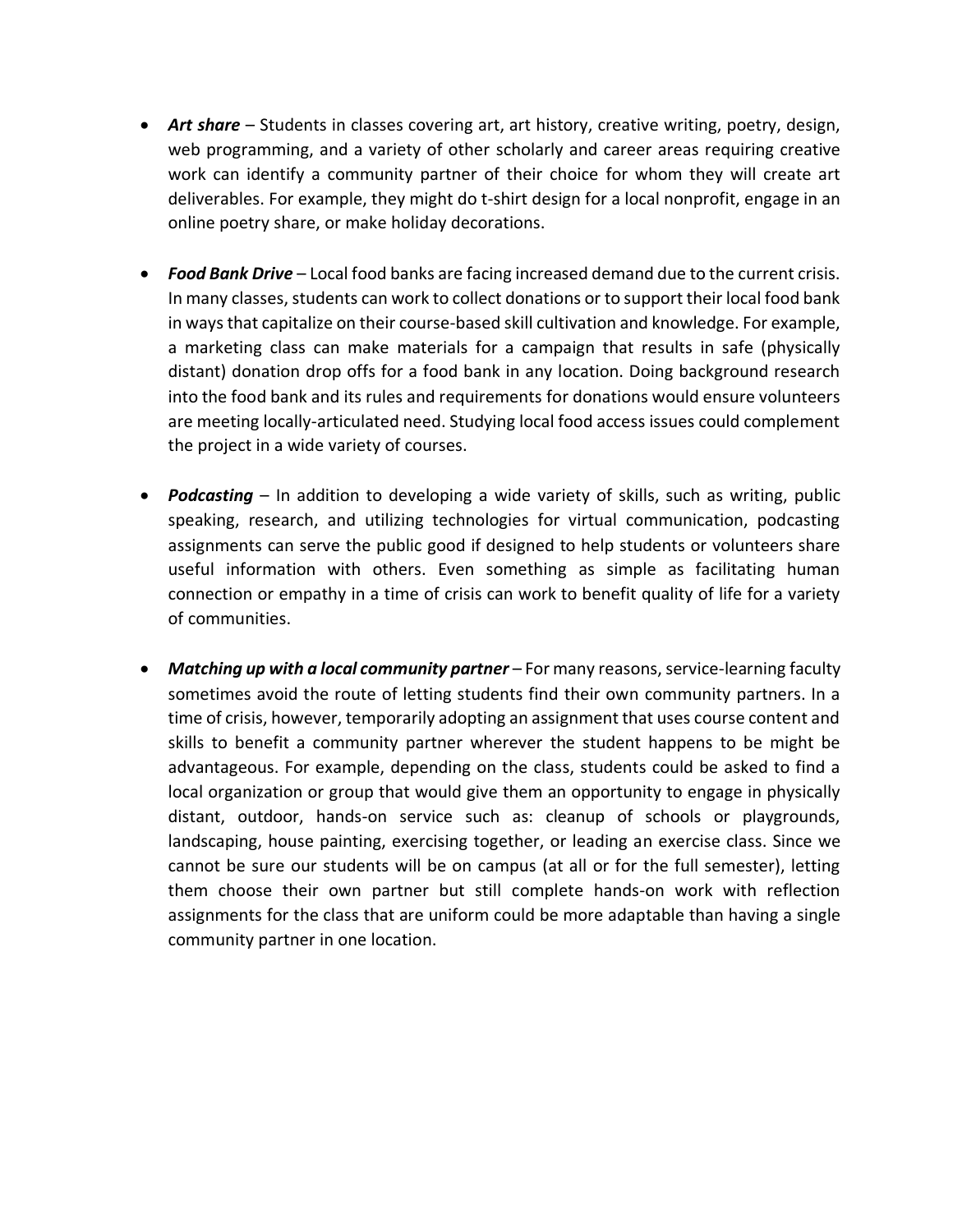- **Art share** Students in classes covering art, art history, creative writing, poetry, design, web programming, and a variety of other scholarly and career areas requiring creative work can identify a community partner of their choice for whom they will create art deliverables. For example, they might do t-shirt design for a local nonprofit, engage in an online poetry share, or make holiday decorations.
- *Food Bank Drive* Local food banks are facing increased demand due to the current crisis. In many classes, students can work to collect donations or to support their local food bank in ways that capitalize on their course-based skill cultivation and knowledge. For example, a marketing class can make materials for a campaign that results in safe (physically distant) donation drop offs for a food bank in any location. Doing background research into the food bank and its rules and requirements for donations would ensure volunteers are meeting locally-articulated need. Studying local food access issues could complement the project in a wide variety of courses.
- **Podcasting** In addition to developing a wide variety of skills, such as writing, public speaking, research, and utilizing technologies for virtual communication, podcasting assignments can serve the public good if designed to help students or volunteers share useful information with others. Even something as simple as facilitating human connection or empathy in a time of crisis can work to benefit quality of life for a variety of communities.
- *Matching up with a local community partner* For many reasons, service-learning faculty sometimes avoid the route of letting students find their own community partners. In a time of crisis, however, temporarily adopting an assignment that uses course content and skills to benefit a community partner wherever the student happens to be might be advantageous. For example, depending on the class, students could be asked to find a local organization or group that would give them an opportunity to engage in physically distant, outdoor, hands-on service such as: cleanup of schools or playgrounds, landscaping, house painting, exercising together, or leading an exercise class. Since we cannot be sure our students will be on campus (at all or for the full semester), letting them choose their own partner but still complete hands-on work with reflection assignments for the class that are uniform could be more adaptable than having a single community partner in one location.